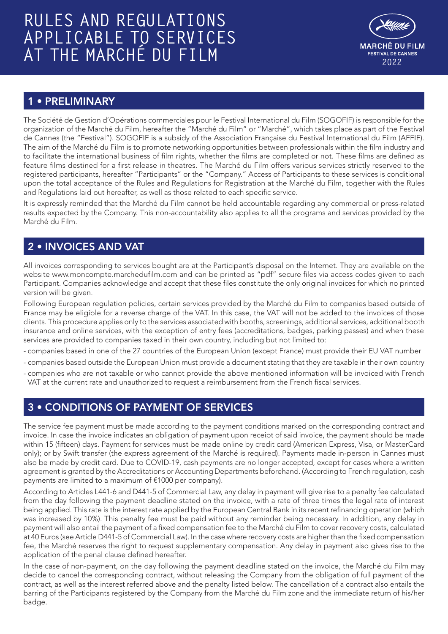# **RULES AND REGULATIONS APPLICABLE TO SERVICES AT THE MARCHÉ DU FILM <sup>2022</sup>**



# 1 • PRELIMINARY

The Société de Gestion d'Opérations commerciales pour le Festival International du Film (SOGOFIF) is responsible for the organization of the Marché du Film, hereafter the "Marché du Film" or "Marché", which takes place as part of the Festival de Cannes (the "Festival"). SOGOFIF is a subsidy of the Association Française du Festival International du Film (AFFIF). The aim of the Marché du Film is to promote networking opportunities between professionals within the film industry and to facilitate the international business of film rights, whether the films are completed or not. These films are defined as feature films destined for a first release in theatres. The Marché du Film offers various services strictly reserved to the registered participants, hereafter "Participants" or the "Company." Access of Participants to these services is conditional upon the total acceptance of the Rules and Regulations for Registration at the Marché du Film, together with the Rules and Regulations laid out hereafter, as well as those related to each specific service.

It is expressly reminded that the Marché du Film cannot be held accountable regarding any commercial or press-related results expected by the Company. This non-accountability also applies to all the programs and services provided by the Marché du Film.

## 2 • INVOICES AND VAT

All invoices corresponding to services bought are at the Participant's disposal on the Internet. They are available on the website www.moncompte.marchedufilm.com and can be printed as "pdf" secure files via access codes given to each Participant. Companies acknowledge and accept that these files constitute the only original invoices for which no printed version will be given.

Following European regulation policies, certain services provided by the Marché du Film to companies based outside of France may be eligible for a reverse charge of the VAT. In this case, the VAT will not be added to the invoices of those clients. This procedure applies only to the services associated with booths, screenings, additional services, additional booth insurance and online services, with the exception of entry fees (accreditations, badges, parking passes) and when these services are provided to companies taxed in their own country, including but not limited to:

- companies based in one of the 27 countries of the European Union (except France) must provide their EU VAT number
- companies based outside the European Union must provide a document stating that they are taxable in their own country
- companies who are not taxable or who cannot provide the above mentioned information will be invoiced with French VAT at the current rate and unauthorized to request a reimbursement from the French fiscal services.

# 3 • CONDITIONS OF PAYMENT OF SERVICES

The service fee payment must be made according to the payment conditions marked on the corresponding contract and invoice. In case the invoice indicates an obligation of payment upon receipt of said invoice, the payment should be made within 15 (fifteen) days. Payment for services must be made online by credit card (American Express, Visa, or MasterCard only); or by Swift transfer (the express agreement of the Marché is required). Payments made in-person in Cannes must also be made by credit card. Due to COVID-19, cash payments are no longer accepted, except for cases where a written agreement is granted by the Accreditations or Accounting Departments beforehand. (According to French regulation, cash payments are limited to a maximum of €1000 per company).

According to Articles L441-6 and D441-5 of Commercial Law, any delay in payment will give rise to a penalty fee calculated from the day following the payment deadline stated on the invoice, with a rate of three times the legal rate of interest being applied. This rate is the interest rate applied by the European Central Bank in its recent refinancing operation (which was increased by 10%). This penalty fee must be paid without any reminder being necessary. In addition, any delay in payment will also entail the payment of a fixed compensation fee to the Marché du Film to cover recovery costs, calculated at 40 Euros (see Article D441-5 of Commercial Law). In the case where recovery costs are higher than the fixed compensation fee, the Marché reserves the right to request supplementary compensation. Any delay in payment also gives rise to the application of the penal clause defined hereafter.

In the case of non-payment, on the day following the payment deadline stated on the invoice, the Marché du Film may decide to cancel the corresponding contract, without releasing the Company from the obligation of full payment of the contract, as well as the interest referred above and the penalty listed below. The cancellation of a contract also entails the barring of the Participants registered by the Company from the Marché du Film zone and the immediate return of his/her badge.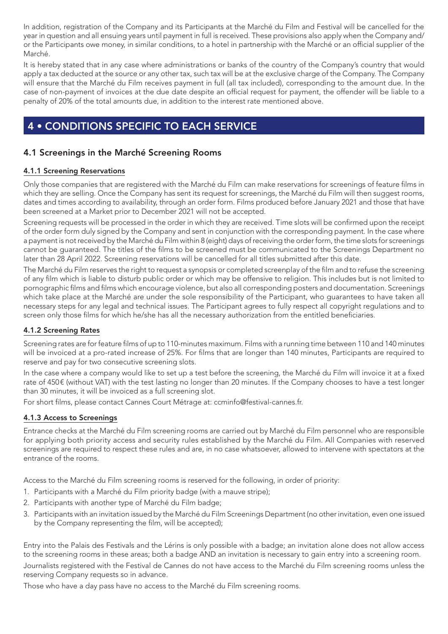In addition, registration of the Company and its Participants at the Marché du Film and Festival will be cancelled for the year in question and all ensuing years until payment in full is received. These provisions also apply when the Company and/ or the Participants owe money, in similar conditions, to a hotel in partnership with the Marché or an official supplier of the Marché.

It is hereby stated that in any case where administrations or banks of the country of the Company's country that would apply a tax deducted at the source or any other tax, such tax will be at the exclusive charge of the Company. The Company will ensure that the Marché du Film receives payment in full (all tax included), corresponding to the amount due. In the case of non-payment of invoices at the due date despite an official request for payment, the offender will be liable to a penalty of 20% of the total amounts due, in addition to the interest rate mentioned above.

# 4 • CONDITIONS SPECIFIC TO EACH SERVICE

## 4.1 Screenings in the Marché Screening Rooms

## 4.1.1 Screening Reservations

Only those companies that are registered with the Marché du Film can make reservations for screenings of feature films in which they are selling. Once the Company has sent its request for screenings, the Marché du Film will then suggest rooms, dates and times according to availability, through an order form. Films produced before January 2021 and those that have been screened at a Market prior to December 2021 will not be accepted.

Screening requests will be processed in the order in which they are received. Time slots will be confirmed upon the receipt of the order form duly signed by the Company and sent in conjunction with the corresponding payment. In the case where a payment is not received by the Marché du Film within 8 (eight) days of receiving the order form, the time slots for screenings cannot be guaranteed. The titles of the films to be screened must be communicated to the Screenings Department no later than 28 April 2022. Screening reservations will be cancelled for all titles submitted after this date.

The Marché du Film reserves the right to request a synopsis or completed screenplay of the film and to refuse the screening of any film which is liable to disturb public order or which may be offensive to religion. This includes but is not limited to pornographic films and films which encourage violence, but also all corresponding posters and documentation. Screenings which take place at the Marché are under the sole responsibility of the Participant, who guarantees to have taken all necessary steps for any legal and technical issues. The Participant agrees to fully respect all copyright regulations and to screen only those films for which he/she has all the necessary authorization from the entitled beneficiaries.

## 4.1.2 Screening Rates

Screening rates are for feature films of up to 110-minutes maximum. Films with a running time between 110 and 140 minutes will be invoiced at a pro-rated increase of 25%. For films that are longer than 140 minutes, Participants are required to reserve and pay for two consecutive screening slots.

In the case where a company would like to set up a test before the screening, the Marché du Film will invoice it at a fixed rate of 450€ (without VAT) with the test lasting no longer than 20 minutes. If the Company chooses to have a test longer than 30 minutes, it will be invoiced as a full screening slot.

For short films, please contact Cannes Court Métrage at: ccminfo@festival-cannes.fr.

#### 4.1.3 Access to Screenings

Entrance checks at the Marché du Film screening rooms are carried out by Marché du Film personnel who are responsible for applying both priority access and security rules established by the Marché du Film. All Companies with reserved screenings are required to respect these rules and are, in no case whatsoever, allowed to intervene with spectators at the entrance of the rooms.

Access to the Marché du Film screening rooms is reserved for the following, in order of priority:

- 1. Participants with a Marché du Film priority badge (with a mauve stripe);
- 2. Participants with another type of Marché du Film badge;
- 3. Participants with an invitation issued by the Marché du Film Screenings Department (no other invitation, even one issued by the Company representing the film, will be accepted);

Entry into the Palais des Festivals and the Lérins is only possible with a badge; an invitation alone does not allow access to the screening rooms in these areas; both a badge AND an invitation is necessary to gain entry into a screening room. Journalists registered with the Festival de Cannes do not have access to the Marché du Film screening rooms unless the reserving Company requests so in advance.

Those who have a day pass have no access to the Marché du Film screening rooms.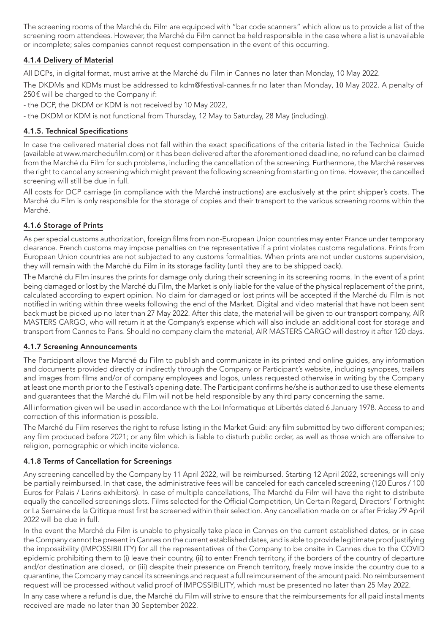The screening rooms of the Marché du Film are equipped with "bar code scanners" which allow us to provide a list of the screening room attendees. However, the Marché du Film cannot be held responsible in the case where a list is unavailable or incomplete; sales companies cannot request compensation in the event of this occurring.

## 4.1.4 Delivery of Material

All DCPs, in digital format, must arrive at the Marché du Film in Cannes no later than Monday, 10 May 2022.

The DKDMs and KDMs must be addressed to kdm@festival-cannes.fr no later than Monday, 10 May 2022. A penalty of 250€ will be charged to the Company if:

- the DCP, the DKDM or KDM is not received by 10 May 2022,

- the DKDM or KDM is not functional from Thursday, 12 May to Saturday, 28 May (including).

#### 4.1.5. Technical Specifications

In case the delivered material does not fall within the exact specifications of the criteria listed in the Technical Guide (available at www.marchedufilm.com) or it has been delivered after the aforementioned deadline, no refund can be claimed from the Marché du Film for such problems, including the cancellation of the screening. Furthermore, the Marché reserves the right to cancel any screening which might prevent the following screening from starting on time. However, the cancelled screening will still be due in full.

All costs for DCP carriage (in compliance with the Marché instructions) are exclusively at the print shipper's costs. The Marché du Film is only responsible for the storage of copies and their transport to the various screening rooms within the Marché.

#### 4.1.6 Storage of Prints

As per special customs authorization, foreign films from non-European Union countries may enter France under temporary clearance. French customs may impose penalties on the representative if a print violates customs regulations. Prints from European Union countries are not subjected to any customs formalities. When prints are not under customs supervision, they will remain with the Marché du Film in its storage facility (until they are to be shipped back).

The Marché du Film insures the prints for damage only during their screening in its screening rooms. In the event of a print being damaged or lost by the Marché du Film, the Market is only liable for the value of the physical replacement of the print, calculated according to expert opinion. No claim for damaged or lost prints will be accepted if the Marché du Film is not notified in writing within three weeks following the end of the Market. Digital and video material that have not been sent back must be picked up no later than 27 May 2022. After this date, the material will be given to our transport company, AIR MASTERS CARGO, who will return it at the Company's expense which will also include an additional cost for storage and transport from Cannes to Paris. Should no company claim the material, AIR MASTERS CARGO will destroy it after 120 days.

## 4.1.7 Screening Announcements

The Participant allows the Marché du Film to publish and communicate in its printed and online guides, any information and documents provided directly or indirectly through the Company or Participant's website, including synopses, trailers and images from films and/or of company employees and logos, unless requested otherwise in writing by the Company at least one month prior to the Festival's opening date. The Participant confirms he/she is authorized to use these elements and guarantees that the Marché du Film will not be held responsible by any third party concerning the same.

All information given will be used in accordance with the Loi Informatique et Libertés dated 6 January 1978. Access to and correction of this information is possible.

The Marché du Film reserves the right to refuse listing in the Market Guid: any film submitted by two different companies; any film produced before 2021; or any film which is liable to disturb public order, as well as those which are offensive to religion, pornographic or which incite violence.

## 4.1.8 Terms of Cancellation for Screenings

Any screening cancelled by the Company by 11 April 2022, will be reimbursed. Starting 12 April 2022, screenings will only be partially reimbursed. In that case, the administrative fees will be canceled for each canceled screening (120 Euros / 100 Euros for Palais / Lerins exhibitors). In case of multiple cancellations, The Marché du Film will have the right to distribute equally the cancelled screenings slots. Films selected for the Official Competition, Un Certain Regard, Directors' Fortnight or La Semaine de la Critique must first be screened within their selection. Any cancellation made on or after Friday 29 April 2022 will be due in full.

In the event the Marché du Film is unable to physically take place in Cannes on the current established dates, or in case the Company cannot be present in Cannes on the current established dates, and is able to provide legitimate proof justifying the impossibility (IMPOSSIBILITY) for all the representatives of the Company to be onsite in Cannes due to the COVID epidemic prohibiting them to (i) leave their country, (ii) to enter French territory, if the borders of the country of departure and/or destination are closed, or (iii) despite their presence on French territory, freely move inside the country due to a quarantine, the Company may cancel its screenings and request a full reimbursement of the amount paid. No reimbursement request will be processed without valid proof of IMPOSSIBILITY, which must be presented no later than 25 May 2022.

In any case where a refund is due, the Marché du Film will strive to ensure that the reimbursements for all paid installments received are made no later than 30 September 2022.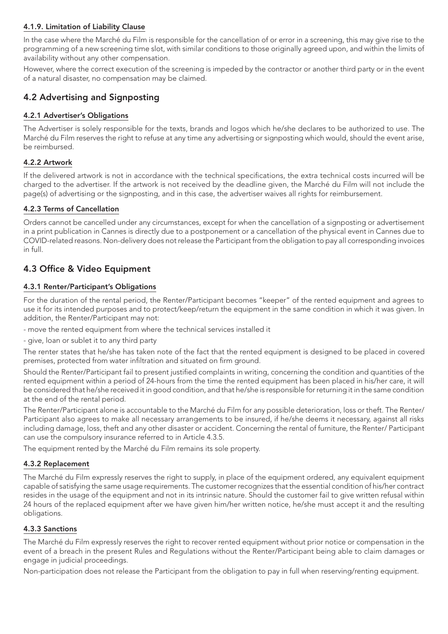## 4.1.9. Limitation of Liability Clause

In the case where the Marché du Film is responsible for the cancellation of or error in a screening, this may give rise to the programming of a new screening time slot, with similar conditions to those originally agreed upon, and within the limits of availability without any other compensation.

However, where the correct execution of the screening is impeded by the contractor or another third party or in the event of a natural disaster, no compensation may be claimed.

## 4.2 Advertising and Signposting

## 4.2.1 Advertiser's Obligations

The Advertiser is solely responsible for the texts, brands and logos which he/she declares to be authorized to use. The Marché du Film reserves the right to refuse at any time any advertising or signposting which would, should the event arise, be reimbursed.

## 4.2.2 Artwork

If the delivered artwork is not in accordance with the technical specifications, the extra technical costs incurred will be charged to the advertiser. If the artwork is not received by the deadline given, the Marché du Film will not include the page(s) of advertising or the signposting, and in this case, the advertiser waives all rights for reimbursement.

## 4.2.3 Terms of Cancellation

Orders cannot be cancelled under any circumstances, except for when the cancellation of a signposting or advertisement in a print publication in Cannes is directly due to a postponement or a cancellation of the physical event in Cannes due to COVID-related reasons. Non-delivery does not release the Participant from the obligation to pay all corresponding invoices in full.

## 4.3 Office & Video Equipment

## 4.3.1 Renter/Participant's Obligations

For the duration of the rental period, the Renter/Participant becomes "keeper" of the rented equipment and agrees to use it for its intended purposes and to protect/keep/return the equipment in the same condition in which it was given. In addition, the Renter/Participant may not:

- move the rented equipment from where the technical services installed it
- give, loan or sublet it to any third party

The renter states that he/she has taken note of the fact that the rented equipment is designed to be placed in covered premises, protected from water infiltration and situated on firm ground.

Should the Renter/Participant fail to present justified complaints in writing, concerning the condition and quantities of the rented equipment within a period of 24-hours from the time the rented equipment has been placed in his/her care, it will be considered that he/she received it in good condition, and that he/she is responsible for returning it in the same condition at the end of the rental period.

The Renter/Participant alone is accountable to the Marché du Film for any possible deterioration, loss or theft. The Renter/ Participant also agrees to make all necessary arrangements to be insured, if he/she deems it necessary, against all risks including damage, loss, theft and any other disaster or accident. Concerning the rental of furniture, the Renter/ Participant can use the compulsory insurance referred to in Article 4.3.5.

The equipment rented by the Marché du Film remains its sole property.

## 4.3.2 Replacement

The Marché du Film expressly reserves the right to supply, in place of the equipment ordered, any equivalent equipment capable of satisfying the same usage requirements. The customer recognizes that the essential condition of his/her contract resides in the usage of the equipment and not in its intrinsic nature. Should the customer fail to give written refusal within 24 hours of the replaced equipment after we have given him/her written notice, he/she must accept it and the resulting obligations.

## 4.3.3 Sanctions

The Marché du Film expressly reserves the right to recover rented equipment without prior notice or compensation in the event of a breach in the present Rules and Regulations without the Renter/Participant being able to claim damages or engage in judicial proceedings.

Non-participation does not release the Participant from the obligation to pay in full when reserving/renting equipment.